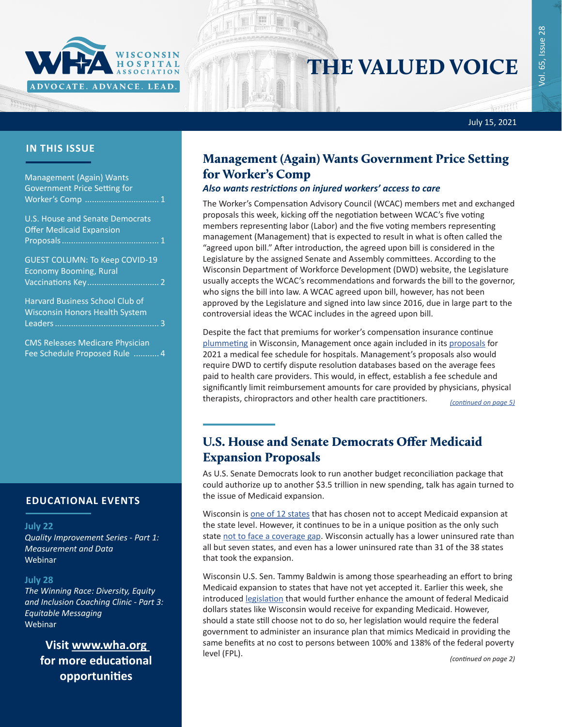



# THE VALUED VOICE

#### July 15, 2021

## **IN THIS ISSUE**

| Management (Again) Wants<br><b>Government Price Setting for</b><br>Worker's Comp  1 |
|-------------------------------------------------------------------------------------|
| <b>U.S. House and Senate Democrats</b><br><b>Offer Medicaid Expansion</b>           |
| <b>GUEST COLUMN: To Keep COVID-19</b><br><b>Economy Booming, Rural</b>              |
| <b>Harvard Business School Club of</b><br><b>Wisconsin Honors Health System</b>     |
| <b>CMS Releases Medicare Physician</b><br>Fee Schedule Proposed Rule  4             |

## **EDUCATIONAL EVENTS**

#### **July 22**

*[Quality Improvement Series - Part 1:](https://www.wha.org/AboutWHA/CalendarofEvents/Webinar-Online-Education/Quality-Improvement)  [Measurement and Data](https://www.wha.org/AboutWHA/CalendarofEvents/Webinar-Online-Education/Quality-Improvement)* Webinar

#### **July 28**

*[The Winning Race: Diversity, Equity](https://www.wha.org/AboutWHA/CalendarofEvents/Webinar-Online-Education/DEI-Part-3-(1))  [and Inclusion Coaching Clinic - Part 3:](https://www.wha.org/AboutWHA/CalendarofEvents/Webinar-Online-Education/DEI-Part-3-(1))  [Equitable Messaging](https://www.wha.org/AboutWHA/CalendarofEvents/Webinar-Online-Education/DEI-Part-3-(1))* Webinar

> **Visit [www.wha.org](https://www.wha.org) for more educational opportunities**

# Management (Again) Wants Government Price Setting for Worker's Comp

*Also wants restrictions on injured workers' access to care* 

The Worker's Compensation Advisory Council (WCAC) members met and exchanged proposals this week, kicking off the negotiation between WCAC's five voting members representing labor (Labor) and the five voting members representing management (Management) that is expected to result in what is often called the "agreed upon bill." After introduction, the agreed upon bill is considered in the Legislature by the assigned Senate and Assembly committees. According to the Wisconsin Department of Workforce Development (DWD) website, the Legislature usually accepts the WCAC's recommendations and forwards the bill to the governor, who signs the bill into law. A WCAC agreed upon bill, however, has not been approved by the Legislature and signed into law since 2016, due in large part to the controversial ideas the WCAC includes in the agreed upon bill.

Despite the fact that premiums for worker's compensation insurance continue [plummeting](https://www.wha.org/MediaRoom/WHANewsletter/2021/05-27-2021/WCRB-Proposes-Sixth-Consecutive-Workers%E2%80%99-Comp-Prem) in Wisconsin, Management once again included in its [proposals](http://www.wha.org/WisconsinHospitalAssociation/media/WHACommon/Government%20Relations/pdf/2021-management-wc-proposals7-13.pdf) for 2021 a medical fee schedule for hospitals. Management's proposals also would require DWD to certify dispute resolution databases based on the average fees paid to health care providers. This would, in effect, establish a fee schedule and significantly limit reimbursement amounts for care provided by physicians, physical therapists, chiropractors and other health care practitioners.

*[\(continued on page 5\)](https://www.wha.org/WisconsinHospitalAssociation/media/WHANewsLetters/2021PDF/WHA-Newsletter-07-15-2021.pdf#page=5)*

# U.S. House and Senate Democrats Offer Medicaid Expansion Proposals

As U.S. Senate Democrats look to run another budget reconciliation package that could authorize up to another \$3.5 trillion in new spending, talk has again turned to the issue of Medicaid expansion.

Wisconsin is [one of 12 states](https://www.kff.org/medicaid/issue-brief/status-of-state-medicaid-expansion-decisions-interactive-map/) that has chosen not to accept Medicaid expansion at the state level. However, it continues to be in a unique position as the only such state [not to face a coverage gap.](https://www.kff.org/medicaid/issue-brief/the-coverage-gap-uninsured-poor-adults-in-states-that-do-not-expand-medicaid/) Wisconsin actually has a lower uninsured rate than all but seven states, and even has a lower uninsured rate than 31 of the 38 states that took the expansion.

Wisconsin U.S. Sen. Tammy Baldwin is among those spearheading an effort to bring Medicaid expansion to states that have not yet accepted it. Earlier this week, she introduced [legislation](https://www.baldwin.senate.gov/imo/media/doc/Baldwin.Medicaid-Saves-Lives-Act_OnePager.pdf) that would further enhance the amount of federal Medicaid dollars states like Wisconsin would receive for expanding Medicaid. However, should a state still choose not to do so, her legislation would require the federal government to administer an insurance plan that mimics Medicaid in providing the same benefits at no cost to persons between 100% and 138% of the federal poverty level (FPL).

*(continued on page 2)*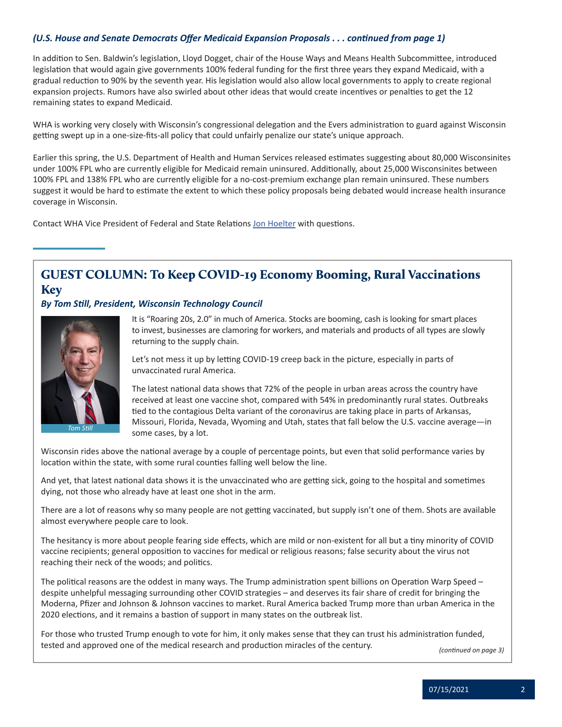# <span id="page-1-0"></span>*(U.S. House and Senate Democrats Offer Medicaid Expansion Proposals . . . continued from page 1)*

In addition to Sen. Baldwin's legislation, Lloyd Dogget, chair of the House Ways and Means Health Subcommittee, introduced legislation that would again give governments 100% federal funding for the first three years they expand Medicaid, with a gradual reduction to 90% by the seventh year. His legislation would also allow local governments to apply to create regional expansion projects. Rumors have also swirled about other ideas that would create incentives or penalties to get the 12 remaining states to expand Medicaid.

WHA is working very closely with Wisconsin's congressional delegation and the Evers administration to guard against Wisconsin getting swept up in a one-size-fits-all policy that could unfairly penalize our state's unique approach.

Earlier this spring, the U.S. Department of Health and Human Services released estimates suggesting about 80,000 Wisconsinites under 100% FPL who are currently eligible for Medicaid remain uninsured. Additionally, about 25,000 Wisconsinites between 100% FPL and 138% FPL who are currently eligible for a no-cost-premium exchange plan remain uninsured. These numbers suggest it would be hard to estimate the extent to which these policy proposals being debated would increase health insurance coverage in Wisconsin.

Contact WHA Vice President of Federal and State Relations [Jon Hoelter](mailto:jhoelter@wha.org) with questions.

# GUEST COLUMN: To Keep COVID-19 Economy Booming, Rural Vaccinations Key

#### *By Tom Still, President, Wisconsin Technology Council*



It is "Roaring 20s, 2.0" in much of America. Stocks are booming, cash is looking for smart places to invest, businesses are clamoring for workers, and materials and products of all types are slowly returning to the supply chain.

Let's not mess it up by letting COVID-19 creep back in the picture, especially in parts of unvaccinated rural America.

The latest national data shows that 72% of the people in urban areas across the country have received at least one vaccine shot, compared with 54% in predominantly rural states. Outbreaks tied to the contagious Delta variant of the coronavirus are taking place in parts of Arkansas, Missouri, Florida, Nevada, Wyoming and Utah, states that fall below the U.S. vaccine average—in some cases, by a lot.

Wisconsin rides above the national average by a couple of percentage points, but even that solid performance varies by location within the state, with some rural counties falling well below the line.

And yet, that latest national data shows it is the unvaccinated who are getting sick, going to the hospital and sometimes dying, not those who already have at least one shot in the arm.

There are a lot of reasons why so many people are not getting vaccinated, but supply isn't one of them. Shots are available almost everywhere people care to look.

The hesitancy is more about people fearing side effects, which are mild or non-existent for all but a tiny minority of COVID vaccine recipients; general opposition to vaccines for medical or religious reasons; false security about the virus not reaching their neck of the woods; and politics.

The political reasons are the oddest in many ways. The Trump administration spent billions on Operation Warp Speed – despite unhelpful messaging surrounding other COVID strategies – and deserves its fair share of credit for bringing the Moderna, Pfizer and Johnson & Johnson vaccines to market. Rural America backed Trump more than urban America in the 2020 elections, and it remains a bastion of support in many states on the outbreak list.

For those who trusted Trump enough to vote for him, it only makes sense that they can trust his administration funded, tested and approved one of the medical research and production miracles of the century.

*(continued on page 3)*

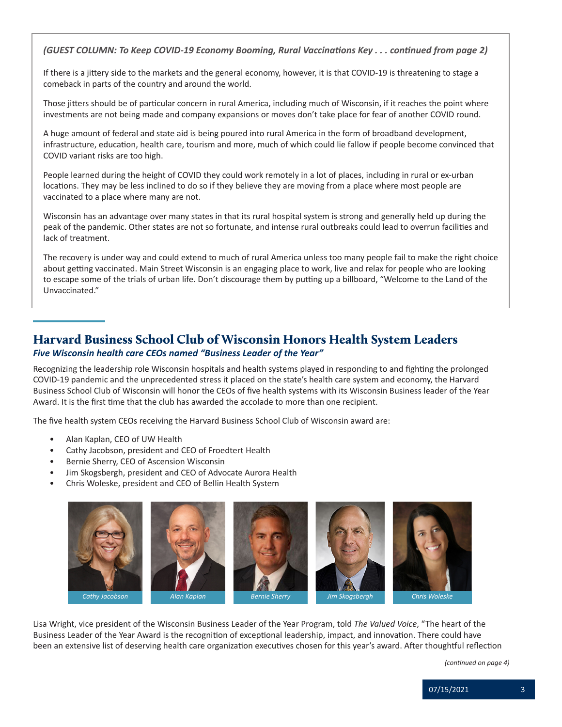<span id="page-2-0"></span>*(GUEST COLUMN: To Keep COVID-19 Economy Booming, Rural Vaccinations Key . . . continued from page 2)*

If there is a jittery side to the markets and the general economy, however, it is that COVID-19 is threatening to stage a comeback in parts of the country and around the world.

Those jitters should be of particular concern in rural America, including much of Wisconsin, if it reaches the point where investments are not being made and company expansions or moves don't take place for fear of another COVID round.

A huge amount of federal and state aid is being poured into rural America in the form of broadband development, infrastructure, education, health care, tourism and more, much of which could lie fallow if people become convinced that COVID variant risks are too high.

People learned during the height of COVID they could work remotely in a lot of places, including in rural or ex-urban locations. They may be less inclined to do so if they believe they are moving from a place where most people are vaccinated to a place where many are not.

Wisconsin has an advantage over many states in that its rural hospital system is strong and generally held up during the peak of the pandemic. Other states are not so fortunate, and intense rural outbreaks could lead to overrun facilities and lack of treatment.

The recovery is under way and could extend to much of rural America unless too many people fail to make the right choice about getting vaccinated. Main Street Wisconsin is an engaging place to work, live and relax for people who are looking to escape some of the trials of urban life. Don't discourage them by putting up a billboard, "Welcome to the Land of the Unvaccinated."

# Harvard Business School Club of Wisconsin Honors Health System Leaders

## *Five Wisconsin health care CEOs named "Business Leader of the Year"*

Recognizing the leadership role Wisconsin hospitals and health systems played in responding to and fighting the prolonged COVID-19 pandemic and the unprecedented stress it placed on the state's health care system and economy, the Harvard Business School Club of Wisconsin will honor the CEOs of five health systems with its Wisconsin Business leader of the Year Award. It is the first time that the club has awarded the accolade to more than one recipient.

The five health system CEOs receiving the Harvard Business School Club of Wisconsin award are:

- Alan Kaplan, CEO of UW Health
- Cathy Jacobson, president and CEO of Froedtert Health
- Bernie Sherry, CEO of Ascension Wisconsin
- Jim Skogsbergh, president and CEO of Advocate Aurora Health
- Chris Woleske, president and CEO of Bellin Health System











Lisa Wright, vice president of the Wisconsin Business Leader of the Year Program, told *The Valued Voice*, "The heart of the Business Leader of the Year Award is the recognition of exceptional leadership, impact, and innovation. There could have been an extensive list of deserving health care organization executives chosen for this year's award. After thoughtful reflection

*(continued on page 4)*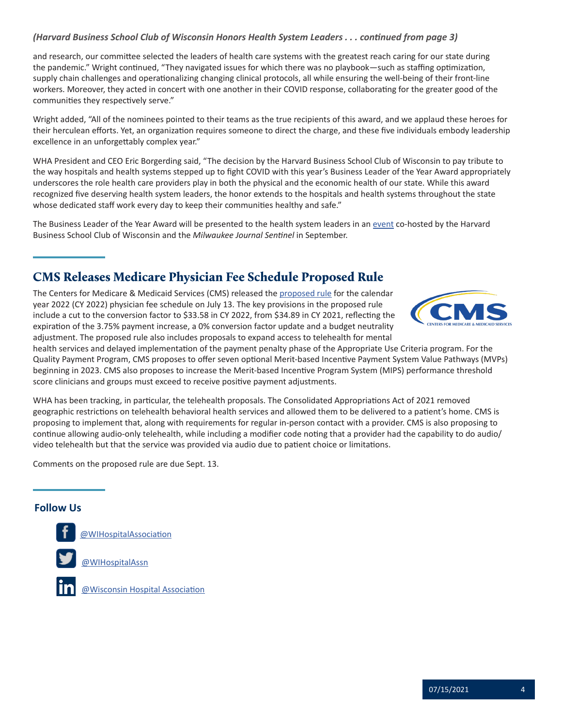# <span id="page-3-0"></span>*(Harvard Business School Club of Wisconsin Honors Health System Leaders . . . continued from page 3)*

and research, our committee selected the leaders of health care systems with the greatest reach caring for our state during the pandemic." Wright continued, "They navigated issues for which there was no playbook—such as staffing optimization, supply chain challenges and operationalizing changing clinical protocols, all while ensuring the well-being of their front-line workers. Moreover, they acted in concert with one another in their COVID response, collaborating for the greater good of the communities they respectively serve."

Wright added, "All of the nominees pointed to their teams as the true recipients of this award, and we applaud these heroes for their herculean efforts. Yet, an organization requires someone to direct the charge, and these five individuals embody leadership excellence in an unforgettably complex year."

WHA President and CEO Eric Borgerding said, "The decision by the Harvard Business School Club of Wisconsin to pay tribute to the way hospitals and health systems stepped up to fight COVID with this year's Business Leader of the Year Award appropriately underscores the role health care providers play in both the physical and the economic health of our state. While this award recognized five deserving health system leaders, the honor extends to the hospitals and health systems throughout the state whose dedicated staff work every day to keep their communities healthy and safe."

The Business Leader of the Year Award will be presented to the health system leaders in an [event](http://www.hbs-wi.com/s/1738/cc/index2.aspx?sid=1738&gid=77&pgid=66510&cid=137902&ecid=137902&crid=0&calpgid=61&calcid=103563) co-hosted by the Harvard Business School Club of Wisconsin and the *Milwaukee Journal Sentinel* in September.

# CMS Releases Medicare Physician Fee Schedule Proposed Rule

The Centers for Medicare & Medicaid Services (CMS) released the [proposed rule](https://public-inspection.federalregister.gov/2021-14973.pdf) for the calendar year 2022 (CY 2022) physician fee schedule on July 13. The key provisions in the proposed rule include a cut to the conversion factor to \$33.58 in CY 2022, from \$34.89 in CY 2021, reflecting the expiration of the 3.75% payment increase, a 0% conversion factor update and a budget neutrality adjustment. The proposed rule also includes proposals to expand access to telehealth for mental



health services and delayed implementation of the payment penalty phase of the Appropriate Use Criteria program. For the Quality Payment Program, CMS proposes to offer seven optional Merit-based Incentive Payment System Value Pathways (MVPs) beginning in 2023. CMS also proposes to increase the Merit-based Incentive Program System (MIPS) performance threshold score clinicians and groups must exceed to receive positive payment adjustments.

WHA has been tracking, in particular, the telehealth proposals. The Consolidated Appropriations Act of 2021 removed geographic restrictions on telehealth behavioral health services and allowed them to be delivered to a patient's home. CMS is proposing to implement that, along with requirements for regular in-person contact with a provider. CMS is also proposing to continue allowing audio-only telehealth, while including a modifier code noting that a provider had the capability to do audio/ video telehealth but that the service was provided via audio due to patient choice or limitations.

Comments on the proposed rule are due Sept. 13.

#### **Follow Us Follow Us**



[@WIHospitalAssociation](https://www.facebook.com/WIHospitalAssociation/)

[@WIHospitalAssn](https://twitter.com/WIHospitalAssn)

[@Wisconsin Hospital Association](https://www.linkedin.com/company/4566526/admin/)